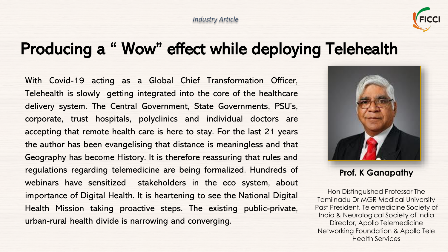

## Producing a " Wow" effect while deploying Telehealth

With Covid-19 acting as a Global Chief Transformation Officer, Telehealth is slowly getting integrated into the core of the healthcare delivery system. The Central Government, State Governments, PSU's, corporate, trust hospitals, polyclinics and individual doctors are accepting that remote health care is here to stay. For the last 21 years the author has been evangelising that distance is meaningless and that Geography has become History. It is therefore reassuring that rules and regulations regarding telemedicine are being formalized. Hundreds of webinars have sensitized stakeholders in the eco system, about importance of Digital Health. It is heartening to see the National Digital Health Mission taking proactive steps. The existing public-private, urban-rural health divide is narrowing and converging.



**Prof. K Ganapathy**

Hon Distinguished Professor The Tamilnadu Dr MGR Medical University Past President, Telemedicine Society of India & Neurological Society of India Director, Apollo Telemedicine Networking Foundation & Apollo Tele Health Services